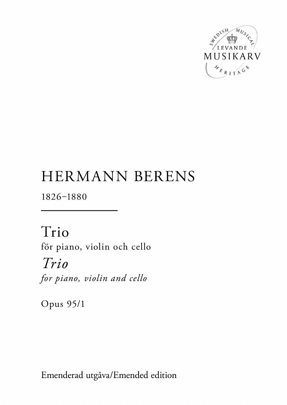

# HERMANN BERENS

1826-1880

Trio för piano, violin och cello *Trio for piano, violin and cello*

Opus 95/1

Emenderad utgåva/Emended edition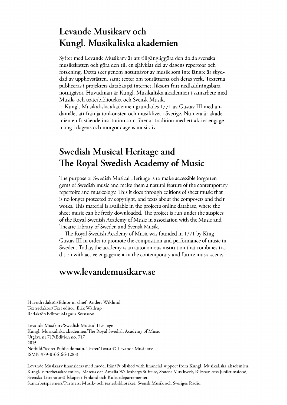# Levande Musikary och Kungl. Musikaliska akademien

Syftet med Levande Musikarv är att tillgängliggöra den dolda svenska musikskatten och göra den till en självklar del av dagens repertoar och forskning. Detta sker genom notutgåvor av musik som inte längre är skyddad av upphovsrätten, samt texter om tonsättarna och deras verk. Texterna publiceras i projektets databas på internet, liksom fritt nedladdningsbara notutgåvor. Huvudman är Kungl. Musikaliska akademien i samarbete med Musik- och teaterbiblioteket och Svensk Musik.

Kungl. Musikaliska akademien grundades 1771 av Gustav III med ändamålet att främja tonkonsten och musiklivet i Sverige. Numera är akademien en fristående institution som förenar tradition med ett aktivt engagemang i dagens och morgondagens musikliv.

# Swedish Musical Heritage and The Royal Swedish Academy of Music

The purpose of Swedish Musical Heritage is to make accessible forgotten gems of Swedish music and make them a natural feature of the contemporary repertoire and musicology. This it does through editions of sheet music that is no longer protected by copyright, and texts about the composers and their works. This material is available in the project's online database, where the sheet music can be freely downloaded. The project is run under the auspices of the Royal Swedish Academy of Music in association with the Music and Theatre Library of Sweden and Svensk Musik.

The Royal Swedish Academy of Music was founded in 1771 by King Gustav III in order to promote the composition and performance of music in Sweden. Today, the academy is an autonomous institution that combines tradition with active engagement in the contemporary and future music scene.

## www.levandemusikarv.se

Huvudredaktör/Editor-in-chief: Anders Wiklund Textredaktör/Text editor: Erik Wallrup Redaktör/Editor: Magnus Svensson

Levande Musikarv/Swedish Musical Heritage Kungl. Musikaliska akademien/The Royal Swedish Academy of Music Utgåva nr 717/Edition no. 717 2015 Notbild/Score: Public domain. Texter/Texts: © Levande Musikarv ISMN 979-0-66166-128-3

Levande Musikarv finansieras med medel från/Published with financial support from Kungl. Musikaliska akademien, Kungl. Vitterhetsakademien, Marcus och Amalia Wallenbergs Stiftelse, Statens Musikverk, Riksbankens Jubileumsfond, Svenska Litteratursällskapet i Finland och Kulturdepartementet. Samarbetspartners/Partners: Musik- och teaterbiblioteket, Svensk Musik och Sveriges Radio.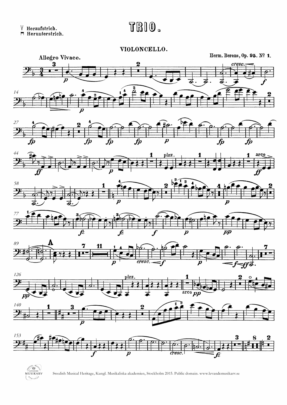$\lor$  Heraufstrich.<br>  $\Box$  Herunterstrich.

# TRIO.

#### VIOLONCELLO.



















Swedish Musical Heritage, Kungl. Musikaliska akademien, Stockholm 2015. Public domain. www.levandemusikarv.se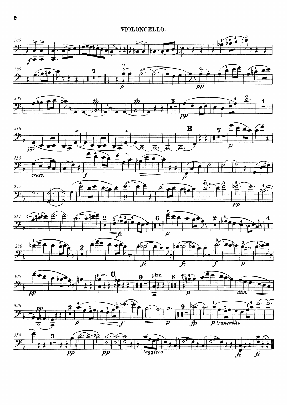











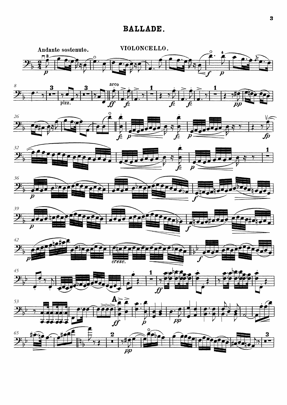### **BALLADE.**

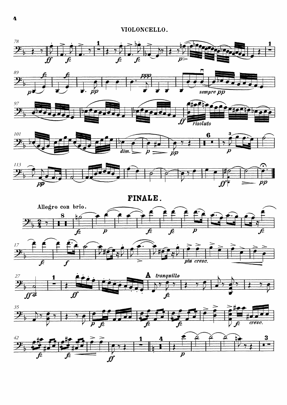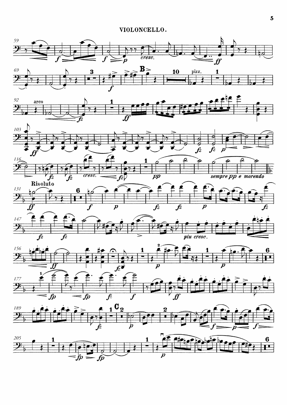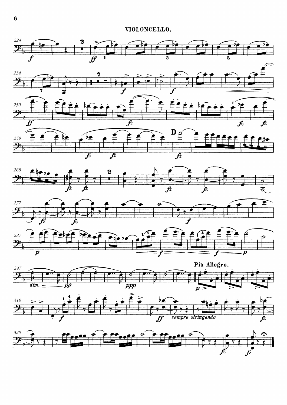













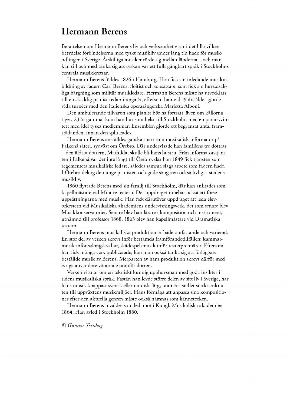## Hermann Berens

Berättelsen om Hermann Berens liv och verksamhet visar i det lilla vilken betydelse förbindelserna med tyskt musikliv under lång tid hade för musikodlingen i Sverige. Åtskilliga musiker rörde sig mellan länderna – och man kan till och med tänka sig att tyskan var ett fullt gångbart språk i Stockholms centralamusikkretsar.

Hermann Berens föddes 1826 i Hamburg. Han fick sin inledande musikutbildning av fadern Carl Berens, flöjtist och tonsättare, som fick sin huvudsakliga bärgning som militär musikledare. Hermann Berens måste ha utvecklats till en skicklig pianist redan i unga år, eftersom han vid 19 års ålder gjorde vida turnéer med den italienska operasångerska Marietta Alboni.

Den ambulerande tillvaron som pianist bör ha fortsatt, även om källorna tiger. 23 år gammal kom han hur som helst till Stockholm med en pianokvintett med idel tyska medlemmar. Ensemblen gjorde ett begränsat antal framträdanden, innan den splittrades.

Hermann Berens anställdes ganska snart som musikalisk informator på Falkenå säteri, sydväst om Örebro. Där undervisade han familjens tre döttrar – den äldstadottern, Mathilda, skullebli hans hustru. Från informatorstjänsten i Falkenå var det inte långt till Örebro, där han 1849 fick tjänsten som regementets musikaliske ledare, således samma slags arbete som fadern hade. I Örebro deltog den unge pianisten och gode sångaren också livligt i stadens musikliv.

1860 flyttade Berens med sin familj till Stockholm, där han anlitades som kapellmästare vid Mindre teatern. Det uppdraget innebar också att förse uppsättningarna med musik. Han fick därutöver uppdraget att leda elevorkestern vid Musikaliska akademiens undervisningsverk, det som senare blev Musikkonservatoriet. Senare blev han lärare i komposition och instrument, utnämnd till professor 1868. 1863 blev han kapellmästare vid Dramatiska teatern.

Hermann Berens musikaliska produktion är både omfattande och varierad. En stor del av verken skrevs inför bestämda framförandetillfällen: kammarmusik inför salongskvällar, skådespelsmusik inför teaterpremiärer. Eftersom han fick många verk publicerade, kan man också tänka sig att förläggare beställde musik av Berens. Merparten av hans produktion skrevs därför med ivriga användare väntande utanför dörren.

Verken vittnar om en tekniskt kunnig upphovsman med goda insikter i tidens musikaliska språk. Fastän han levde större delen av sitt liv i Sverige, har hans musik knappast svensk eller nordisk färg, utan är i stället starkt anknuten till uppväxtens musikmiljöer. Hans förmåga att anpassa sina kompositioner efter den aktuella genren måste också nämnas som kännetecken.

Hermann Berens invaldes som ledamot i Kungl. Musikaliska akademien 1864. Han avled i Stockholm 1880.

*© GunnarTernhag*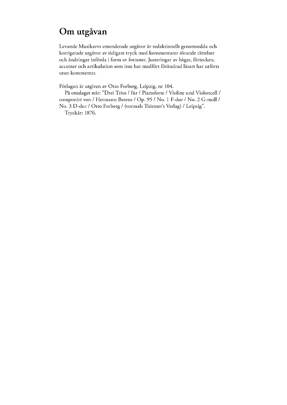# Om utgåvan

Levande Musikarvs emenderade utgåvor är redaktionellt genomsedda och korrigerade utgåvor av tidigare tryck med kommentarer rörande rättelser och ändringar införda i form av fotnoter. Justeringar av bågar, förtecken, accenter och artikulation som inte har medfört förändrad läsart har utförts utan kommentar.

Förlagan är utgiven av Otto Forberg, Leipzig, nr 104.

På omslaget står: "Drei Trios / für / Pianoforte / Violine und Violoncell / componirt von / Hermann Berens/ Op. 95 / No. 1 F-dur / No. 2 G-moll / No. 3 D-dur / Otto Forberg / (vormals Thiemer's Verlag) / Leipzig".

Tryckår:1876.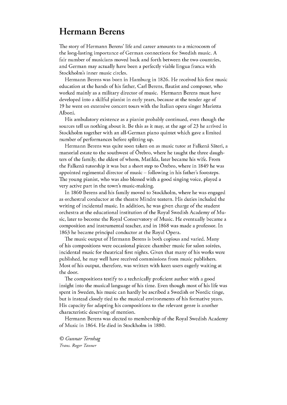## Hermann Berens

The story of Hermann Berens' life and career amounts to a microcosm of the long-lasting importance of German connections for Swedish music. A fair number of musicians moved back and forth between the two countries, and German may actually have been a perfectly viable lingua franca with Stockholm's inner music circles.

Hermann Berens was born in Hamburg in 1826. He received his first music education at the hands of his father, Carl Berens, flautist and composer, who worked mainly as a military director of music. Hermann Berens must have developed into a skilful pianist in early years, because at the tender age of 19 he went on extensive concert tours with the Italian opera singer Marietta Alboni.

His ambulatory existence as a pianist probably continued, even though the sources tell us nothing about it. Be this as it may, at the age of 23 he arrived in Stockholm together with an all-German piano quintet which gave a limited number of performances before splitting up.

Hermann Berens was quite soon taken on as music tutor at Falkenå Säteri, a manorial estate to the southwest of Örebro, where he taught the three daughters of the family, the eldest of whom, Matilda, later became his wife. From the Falkenå tutorship it was but a short step to Örebro, where in 1849 he was appointed regimental director of music – following in his father's footsteps. The young pianist, who was also blessed with a good singing voice, played a very active part in the town's music-making.

In 1860 Berens and his family moved to Stockholm, where he was engaged as orchestral conductor at the theatre Mindre teatern. His duties included the writing of incidental music. In addition, he was given charge of the student orchestra at the educational institution of the Royal Swedish Academy of Music, later to become the Royal Conservatory of Music. He eventually became a composition and instrumental teacher, and in 1868 was made a professor. In 1863 he became principal conductor at the Royal Opera.

The music output of Hermann Berens is both copious and varied. Many of his compositions were occasional pieces: chamber music for salon soirées, incidental music for theatrical first nights. Given that many of his works were published, he may well have received commissions from music publishers. Most of his output, therefore, was written with keen users eagerly waiting at the door.

The compositions testify to a technically proficient author with a good insight into the musical language of his time. Even though most of his life was spent in Sweden, his music can hardly be ascribed a Swedish or Nordic tinge, but is instead closely tied to the musical environments of his formative years. His capacity for adapting his compositions to the relevant genre is another characteristic deserving of mention.

Hermann Berens was elected to membership of the Royal Swedish Academy of Musicin 1864. He died in Stockholmin 1880.

*© GunnarTernhag Trans.RogerTanner*